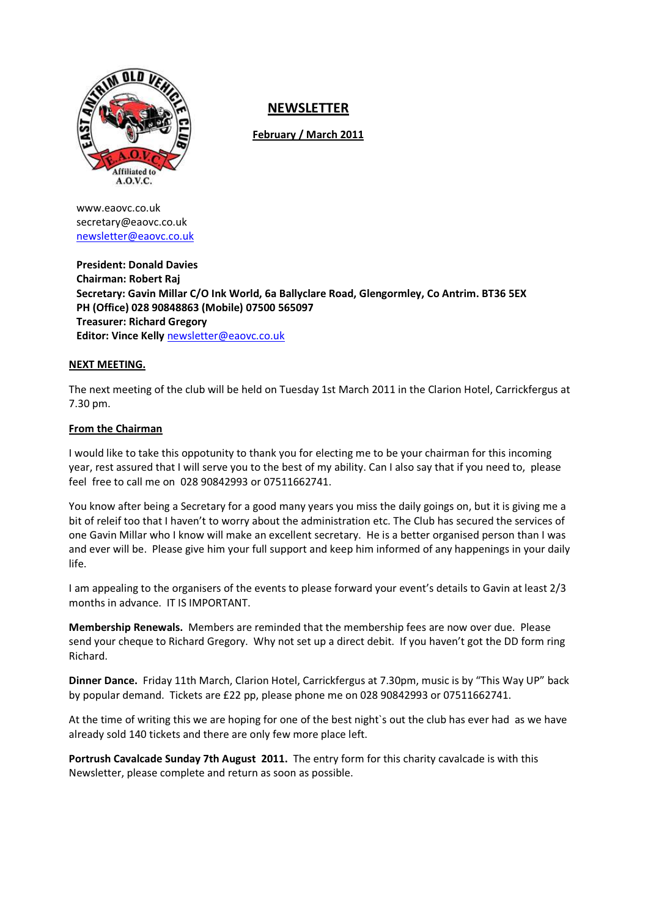

# NEWSLETTER

February / March 2011

www.eaovc.co.uk secretary@eaovc.co.uk newsletter@eaovc.co.uk

President: Donald Davies Chairman: Robert Raj Secretary: Gavin Millar C/O Ink World, 6a Ballyclare Road, Glengormley, Co Antrim. BT36 5EX PH (Office) 028 90848863 (Mobile) 07500 565097 Treasurer: Richard Gregory Editor: Vince Kelly newsletter@eaovc.co.uk

# NEXT MEETING.

The next meeting of the club will be held on Tuesday 1st March 2011 in the Clarion Hotel, Carrickfergus at 7.30 pm.

# From the Chairman

I would like to take this oppotunity to thank you for electing me to be your chairman for this incoming year, rest assured that I will serve you to the best of my ability. Can I also say that if you need to, please feel free to call me on 028 90842993 or 07511662741.

You know after being a Secretary for a good many years you miss the daily goings on, but it is giving me a bit of releif too that I haven't to worry about the administration etc. The Club has secured the services of one Gavin Millar who I know will make an excellent secretary. He is a better organised person than I was and ever will be. Please give him your full support and keep him informed of any happenings in your daily life.

I am appealing to the organisers of the events to please forward your event's details to Gavin at least 2/3 months in advance. IT IS IMPORTANT.

Membership Renewals. Members are reminded that the membership fees are now over due. Please send your cheque to Richard Gregory. Why not set up a direct debit. If you haven't got the DD form ring Richard.

Dinner Dance. Friday 11th March, Clarion Hotel, Carrickfergus at 7.30pm, music is by "This Way UP" back by popular demand. Tickets are £22 pp, please phone me on 028 90842993 or 07511662741.

At the time of writing this we are hoping for one of the best night`s out the club has ever had as we have already sold 140 tickets and there are only few more place left.

Portrush Cavalcade Sunday 7th August 2011. The entry form for this charity cavalcade is with this Newsletter, please complete and return as soon as possible.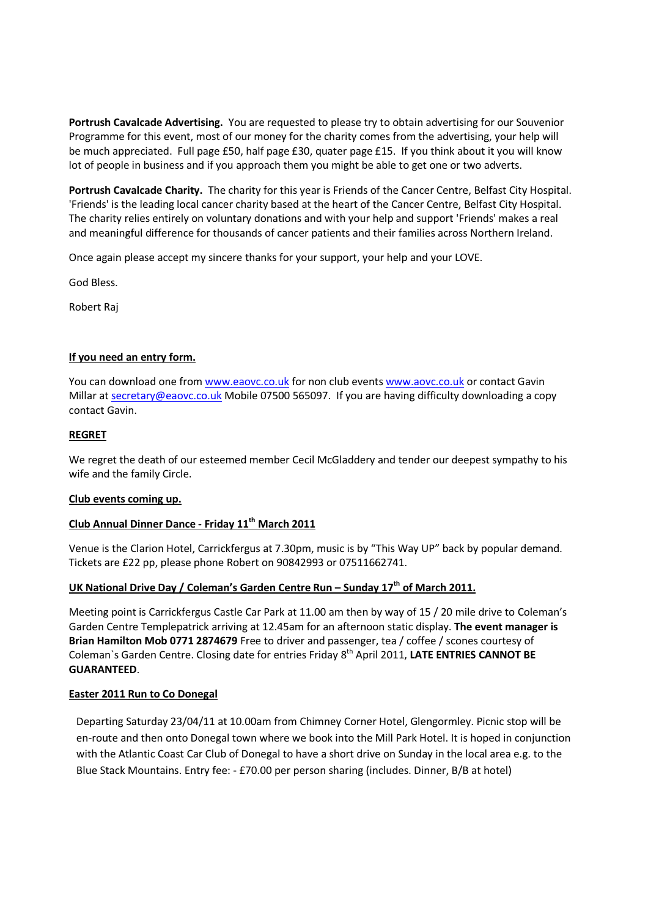Portrush Cavalcade Advertising. You are requested to please try to obtain advertising for our Souvenior Programme for this event, most of our money for the charity comes from the advertising, your help will be much appreciated. Full page £50, half page £30, quater page £15. If you think about it you will know lot of people in business and if you approach them you might be able to get one or two adverts.

Portrush Cavalcade Charity. The charity for this year is Friends of the Cancer Centre, Belfast City Hospital. 'Friends' is the leading local cancer charity based at the heart of the Cancer Centre, Belfast City Hospital. The charity relies entirely on voluntary donations and with your help and support 'Friends' makes a real and meaningful difference for thousands of cancer patients and their families across Northern Ireland.

Once again please accept my sincere thanks for your support, your help and your LOVE.

God Bless.

Robert Raj

# If you need an entry form.

You can download one from www.eaovc.co.uk for non club events www.aovc.co.uk or contact Gavin Millar at secretary@eaovc.co.uk Mobile 07500 565097. If you are having difficulty downloading a copy contact Gavin.

## REGRET

We regret the death of our esteemed member Cecil McGladdery and tender our deepest sympathy to his wife and the family Circle.

## Club events coming up.

# Club Annual Dinner Dance - Friday 11<sup>th</sup> March 2011

Venue is the Clarion Hotel, Carrickfergus at 7.30pm, music is by "This Way UP" back by popular demand. Tickets are £22 pp, please phone Robert on 90842993 or 07511662741.

## UK National Drive Day / Coleman's Garden Centre Run – Sunday  $17<sup>th</sup>$  of March 2011.

Meeting point is Carrickfergus Castle Car Park at 11.00 am then by way of 15 / 20 mile drive to Coleman's Garden Centre Templepatrick arriving at 12.45am for an afternoon static display. The event manager is Brian Hamilton Mob 0771 2874679 Free to driver and passenger, tea / coffee / scones courtesy of Coleman's Garden Centre. Closing date for entries Friday 8<sup>th</sup> April 2011, LATE ENTRIES CANNOT BE GUARANTEED.

## Easter 2011 Run to Co Donegal

Departing Saturday 23/04/11 at 10.00am from Chimney Corner Hotel, Glengormley. Picnic stop will be en-route and then onto Donegal town where we book into the Mill Park Hotel. It is hoped in conjunction with the Atlantic Coast Car Club of Donegal to have a short drive on Sunday in the local area e.g. to the Blue Stack Mountains. Entry fee: - £70.00 per person sharing (includes. Dinner, B/B at hotel)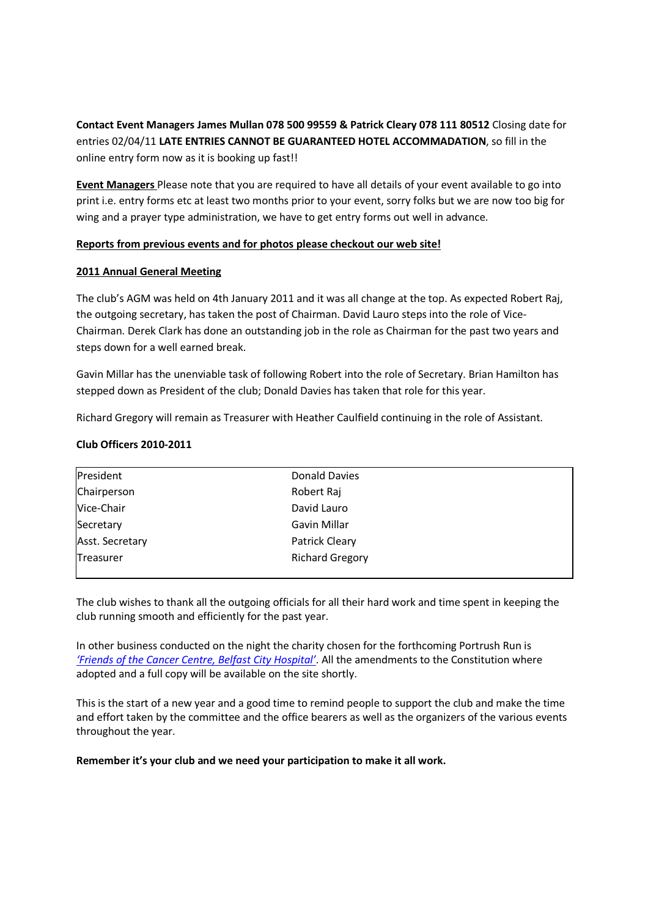Contact Event Managers James Mullan 078 500 99559 & Patrick Cleary 078 111 80512 Closing date for entries 02/04/11 LATE ENTRIES CANNOT BE GUARANTEED HOTEL ACCOMMADATION, so fill in the online entry form now as it is booking up fast!!

Event Managers Please note that you are required to have all details of your event available to go into print i.e. entry forms etc at least two months prior to your event, sorry folks but we are now too big for wing and a prayer type administration, we have to get entry forms out well in advance.

# Reports from previous events and for photos please checkout our web site!

# 2011 Annual General Meeting

The club's AGM was held on 4th January 2011 and it was all change at the top. As expected Robert Raj, the outgoing secretary, has taken the post of Chairman. David Lauro steps into the role of Vice-Chairman. Derek Clark has done an outstanding job in the role as Chairman for the past two years and steps down for a well earned break.

Gavin Millar has the unenviable task of following Robert into the role of Secretary. Brian Hamilton has stepped down as President of the club; Donald Davies has taken that role for this year.

Richard Gregory will remain as Treasurer with Heather Caulfield continuing in the role of Assistant.

# Club Officers 2010-2011

| President       | Donald Davies          |  |
|-----------------|------------------------|--|
| Chairperson     | Robert Raj             |  |
| Vice-Chair      | David Lauro            |  |
| Secretary       | Gavin Millar           |  |
| Asst. Secretary | Patrick Cleary         |  |
| Treasurer       | <b>Richard Gregory</b> |  |
|                 |                        |  |

The club wishes to thank all the outgoing officials for all their hard work and time spent in keeping the club running smooth and efficiently for the past year.

In other business conducted on the night the charity chosen for the forthcoming Portrush Run is 'Friends of the Cancer Centre, Belfast City Hospital'. All the amendments to the Constitution where adopted and a full copy will be available on the site shortly.

This is the start of a new year and a good time to remind people to support the club and make the time and effort taken by the committee and the office bearers as well as the organizers of the various events throughout the year.

Remember it's your club and we need your participation to make it all work.